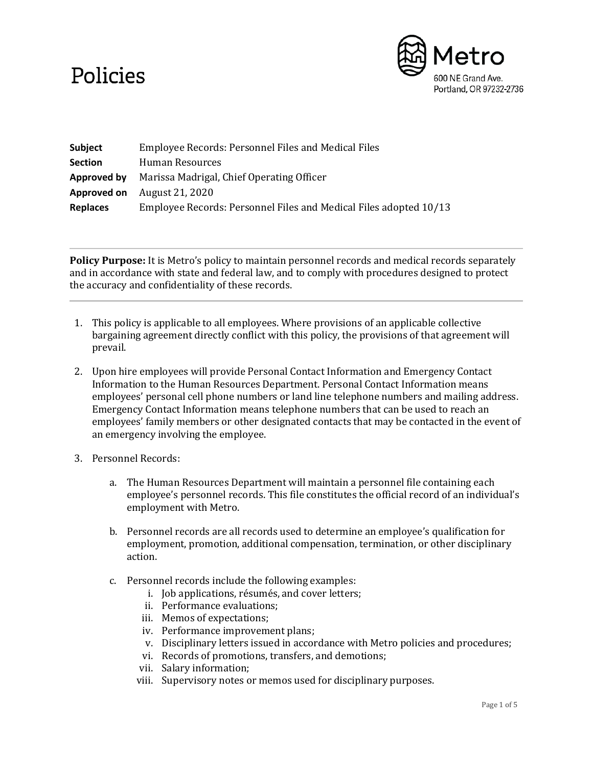## Policies



| Subject         | Employee Records: Personnel Files and Medical Files               |
|-----------------|-------------------------------------------------------------------|
| <b>Section</b>  | Human Resources                                                   |
| Approved by     | Marissa Madrigal, Chief Operating Officer                         |
| Approved on     | August 21, 2020                                                   |
| <b>Replaces</b> | Employee Records: Personnel Files and Medical Files adopted 10/13 |

**Policy Purpose:** It is Metro's policy to maintain personnel records and medical records separately and in accordance with state and federal law, and to comply with procedures designed to protect the accuracy and confidentiality of these records.

- 1. This policy is applicable to all employees. Where provisions of an applicable collective bargaining agreement directly conflict with this policy, the provisions of that agreement will prevail.
- 2. Upon hire employees will provide Personal Contact Information and Emergency Contact Information to the Human Resources Department. Personal Contact Information means employees' personal cell phone numbers or land line telephone numbers and mailing address. Emergency Contact Information means telephone numbers that can be used to reach an employees' family members or other designated contacts that may be contacted in the event of an emergency involving the employee.
- 3. Personnel Records:
	- a. The Human Resources Department will maintain a personnel file containing each employee's personnel records. This file constitutes the official record of an individual's employment with Metro.
	- b. Personnel records are all records used to determine an employee's qualification for employment, promotion, additional compensation, termination, or other disciplinary action.
	- c. Personnel records include the following examples:
		- i. Job applications, résumés, and cover letters;
		- ii. Performance evaluations;
		- iii. Memos of expectations;
		- iv. Performance improvement plans;
		- v. Disciplinary letters issued in accordance with Metro policies and procedures;
		- vi. Records of promotions, transfers, and demotions;
		- vii. Salary information;
		- viii. Supervisory notes or memos used for disciplinary purposes.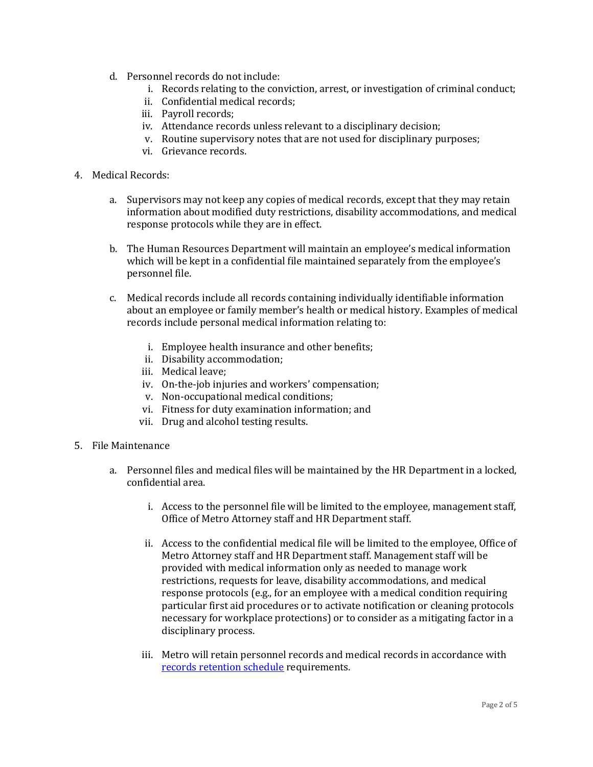- d. Personnel records do not include:
	- i. Records relating to the conviction, arrest, or investigation of criminal conduct;
	- ii. Confidential medical records;
	- iii. Payroll records;
	- iv. Attendance records unless relevant to a disciplinary decision;
	- v. Routine supervisory notes that are not used for disciplinary purposes;
	- vi. Grievance records.

## 4. Medical Records:

- a. Supervisors may not keep any copies of medical records, except that they may retain information about modified duty restrictions, disability accommodations, and medical response protocols while they are in effect.
- b. The Human Resources Department will maintain an employee's medical information which will be kept in a confidential file maintained separately from the employee's personnel file.
- c. Medical records include all records containing individually identifiable information about an employee or family member's health or medical history. Examples of medical records include personal medical information relating to:
	- i. Employee health insurance and other benefits;
	- ii. Disability accommodation;
	- iii. Medical leave;
	- iv. On-the-job injuries and workers' compensation;
	- v. Non-occupational medical conditions;
	- vi. Fitness for duty examination information; and
	- vii. Drug and alcohol testing results.
- 5. File Maintenance
	- a. Personnel files and medical files will be maintained by the HR Department in a locked, confidential area.
		- i. Access to the personnel file will be limited to the employee, management staff, Office of Metro Attorney staff and HR Department staff.
		- ii. Access to the confidential medical file will be limited to the employee, Office of Metro Attorney staff and HR Department staff. Management staff will be provided with medical information only as needed to manage work restrictions, requests for leave, disability accommodations, and medical response protocols (e.g., for an employee with a medical condition requiring particular first aid procedures or to activate notification or cleaning protocols necessary for workplace protections) or to consider as a mitigating factor in a disciplinary process.
		- iii. Metro will retain personnel records and medical records in accordance with records [retention schedule](https://metronet.oregonmetro.gov/dept/IS/rim/SitePages/Records%20Retention%20Schedule.aspx) requirements.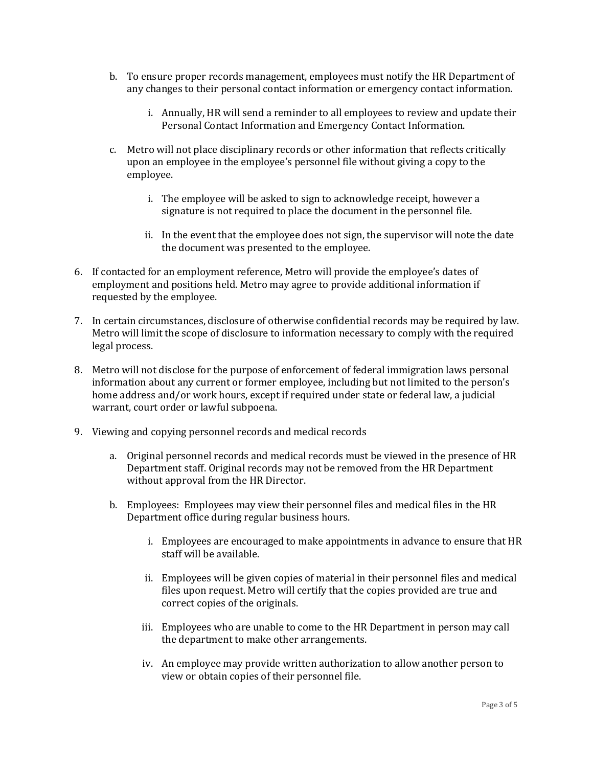- b. To ensure proper records management, employees must notify the HR Department of any changes to their personal contact information or emergency contact information.
	- i. Annually, HR will send a reminder to all employees to review and update their Personal Contact Information and Emergency Contact Information.
- c. Metro will not place disciplinary records or other information that reflects critically upon an employee in the employee's personnel file without giving a copy to the employee.
	- i. The employee will be asked to sign to acknowledge receipt, however a signature is not required to place the document in the personnel file.
	- ii. In the event that the employee does not sign, the supervisor will note the date the document was presented to the employee.
- 6. If contacted for an employment reference, Metro will provide the employee's dates of employment and positions held. Metro may agree to provide additional information if requested by the employee.
- 7. In certain circumstances, disclosure of otherwise confidential records may be required by law. Metro will limit the scope of disclosure to information necessary to comply with the required legal process.
- 8. Metro will not disclose for the purpose of enforcement of federal immigration laws personal information about any current or former employee, including but not limited to the person's home address and/or work hours, except if required under state or federal law, a judicial warrant, court order or lawful subpoena.
- 9. Viewing and copying personnel records and medical records
	- a. Original personnel records and medical records must be viewed in the presence of HR Department staff. Original records may not be removed from the HR Department without approval from the HR Director.
	- b. Employees: Employees may view their personnel files and medical files in the HR Department office during regular business hours.
		- i. Employees are encouraged to make appointments in advance to ensure that HR staff will be available.
		- ii. Employees will be given copies of material in their personnel files and medical files upon request. Metro will certify that the copies provided are true and correct copies of the originals.
		- iii. Employees who are unable to come to the HR Department in person may call the department to make other arrangements.
		- iv. An employee may provide written authorization to allow another person to view or obtain copies of their personnel file.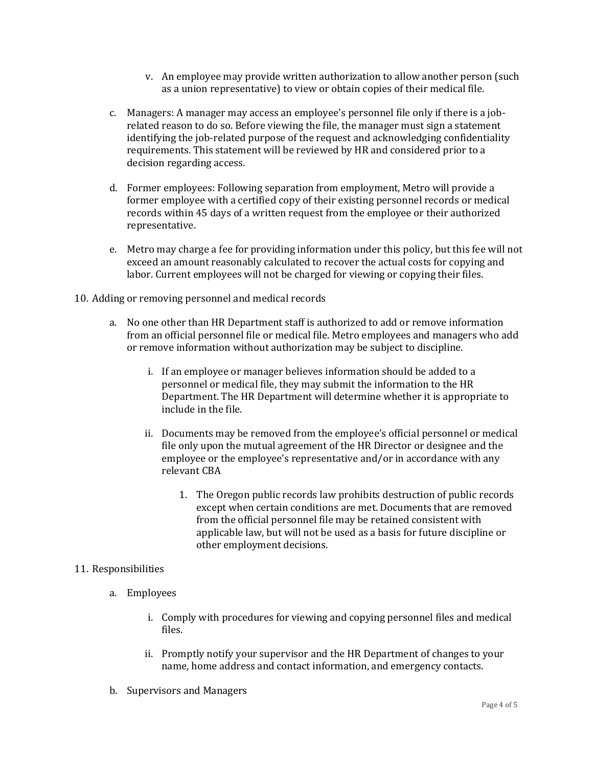- v. An employee may provide written authorization to allow another person (such as a union representative) to view or obtain copies of their medical file.
- c. Managers: A manager may access an employee's personnel file only if there is a jobrelated reason to do so. Before viewing the file, the manager must sign a statement identifying the job-related purpose of the request and acknowledging confidentiality requirements. This statement will be reviewed by HR and considered prior to a decision regarding access.
- d. Former employees: Following separation from employment, Metro will provide a former employee with a certified copy of their existing personnel records or medical records within 45 days of a written request from the employee or their authorized representative.
- e. Metro may charge a fee for providing information under this policy, but this fee will not exceed an amount reasonably calculated to recover the actual costs for copying and labor. Current employees will not be charged for viewing or copying their files.
- 10. Adding or removing personnel and medical records
	- a. No one other than HR Department staff is authorized to add or remove information from an official personnel file or medical file. Metro employees and managers who add or remove information without authorization may be subject to discipline.
		- i. If an employee or manager believes information should be added to a personnel or medical file, they may submit the information to the HR Department. The HR Department will determine whether it is appropriate to include in the file.
		- ii. Documents may be removed from the employee's official personnel or medical file only upon the mutual agreement of the HR Director or designee and the employee or the employee's representative and/or in accordance with any relevant CBA
			- 1. The Oregon public records law prohibits destruction of public records except when certain conditions are met. Documents that are removed from the official personnel file may be retained consistent with applicable law, but will not be used as a basis for future discipline or other employment decisions.

## 11. Responsibilities

- a. Employees
	- i. Comply with procedures for viewing and copying personnel files and medical files.
	- ii. Promptly notify your supervisor and the HR Department of changes to your name, home address and contact information, and emergency contacts.
- b. Supervisors and Managers